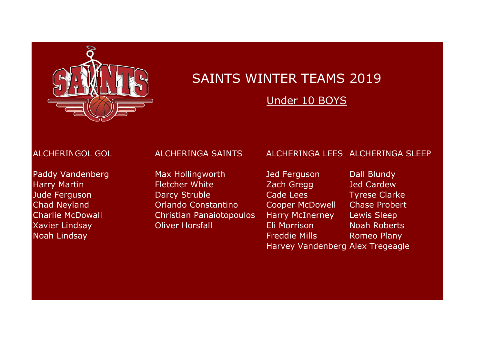

Under 10 BOYS

## ALCHERINGOL GOL ALCHERINGA SAINTS ALCHERINGA LEES ALCHERINGA SLEEP

Paddy Vandenberg Max Hollingworth Jed Ferguson Dall Blundy Harry Martin **Fletcher White Zach Gregg Jed Cardew** Jude Ferguson Darcy Struble Cade Lees Tyrese Clarke Chad Neyland Orlando Constantino Cooper McDowell Chase Probert Charlie McDowall Christian Panaiotopoulos Harry McInerney Lewis Sleep Xavier Lindsay **Oliver Horsfall Communist Eli Morrison** Noah Roberts **Noah Lindsay Freddie Mills Romeo Plany** Romeo Plany Harvey Vandenberg Alex Tregeagle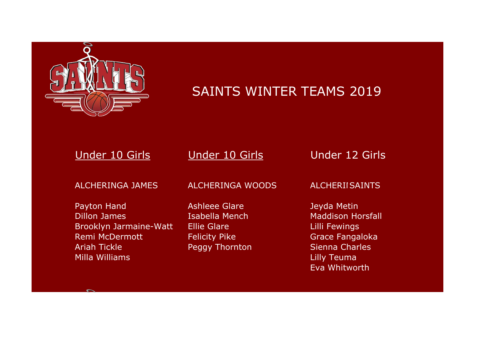

 $\overline{\phantom{0}}$ 

# SAINTS WINTER TEAMS 2019

| Under 10 Girls                                                                                                                        | Under 10 Girls                                                                                                | Under 12 Girls                                                                                                                              |
|---------------------------------------------------------------------------------------------------------------------------------------|---------------------------------------------------------------------------------------------------------------|---------------------------------------------------------------------------------------------------------------------------------------------|
| <b>ALCHERINGA JAMES</b>                                                                                                               | <b>ALCHERINGA WOODS</b>                                                                                       | <b>ALCHERIISAINTS</b>                                                                                                                       |
| Payton Hand<br><b>Dillon James</b><br><b>Brooklyn Jarmaine-Watt</b><br><b>Remi McDermott</b><br><b>Ariah Tickle</b><br>Milla Williams | <b>Ashleee Glare</b><br>Isabella Mench<br><b>Ellie Glare</b><br><b>Felicity Pike</b><br><b>Peggy Thornton</b> | Jeyda Metin<br><b>Maddison Horsfall</b><br>Lilli Fewings<br><b>Grace Fangaloka</b><br><b>Sienna Charles</b><br>Lilly Teuma<br>Eva Whitworth |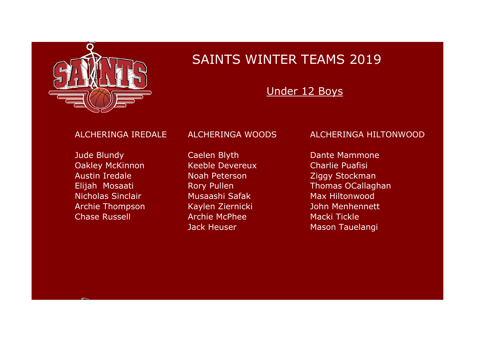

## Under 12 Boys

**Jude Blundy Caelen Blyth Dante Mammone** Oakley McKinnon Keeble Devereux Charlie Puafisi Austin Iredale Noah Peterson Ziggy Stockman Nicholas Sinclair Musaashi Safak Max Hiltonwood Archie Thompson Kaylen Ziernicki Manuel John Menhennett Chase Russell **Archie McPhee** Macki Tickle

### ALCHERINGA IREDALE ALCHERINGA WOODS ALCHERINGA HILTONWOOD

Elijah Mosaati **Rory Pullen** Rory Pullen Thomas OCallaghan Jack Heuser Mason Tauelangi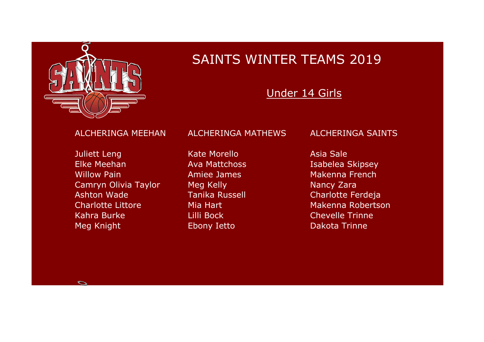

## Under 14 Girls

**Juliett Leng Kate Morello Asia Sale** Elke Meehan **Ava Mattchoss** Isabelea Skipsey Willow Pain **Amiee James** Makenna French Camryn Olivia Taylor Meg Kelly Nancy Zara Ashton Wade Tanika Russell Charlotte Ferdeja Charlotte Littore Mia Hart Makenna Robertson Kahra Burke Lilli Bock Chevelle Trinne Meg Knight **Ebony Ietto Example 20** Dakota Trinne

### ALCHERINGA MEEHAN ALCHERINGA MATHEWS ALCHERINGA SAINTS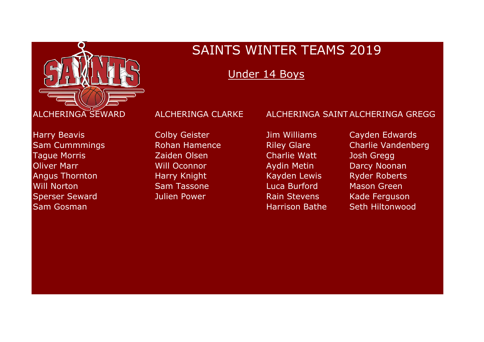

Under 14 Boys

Tague Morris Zaiden Olsen Charlie Watt Josh Gregg Will Norton Sam Tassone Luca Burford Mason Green Sperser Seward **Marko Sullien Power** And Rain Stevens Kade Ferguson **Sam Gosman National Accords Contract Contract Contract Contract Contract Contract Contract Contract Contract Contract Contract Contract Contract Contract Contract Contract Contract Contract Contract Contract Contract Cont** 

Harry Beavis **Network Colpy Geister** Manus Jim Williams Cayden Edwards Sam Cummmings Rohan Hamence Riley Glare Charlie Vandenberg Oliver Marr North Will Oconnor Nettin Aydin Metin Nettin Darcy Noonan Angus Thornton **Harry Knight** Kayden Lewis Ryder Roberts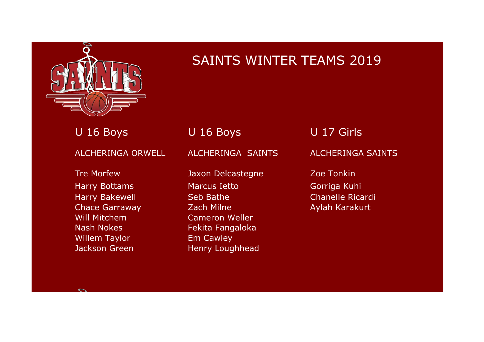

U 16 Boys U 16 Boys U 17 Girls

ALCHERINGA ORWELL ALCHERINGA SAINTS ALCHERINGA SAINTS

Will Mitchem Cameron Weller Willem Taylor **Em Cawley** 

Tre Morfew **The Morfew Contract Accord Delcastegne Zoe Tonkin** Harry Bottams **Marcus Ietto** Gorriga Kuhi Harry Bakewell Seb Bathe Chanelle Ricardi Chace Garraway **Zach Milne Aylah Karakurt Aylah Karakurt** Nash Nokes Fekita Fangaloka Jackson Green Henry Loughhead